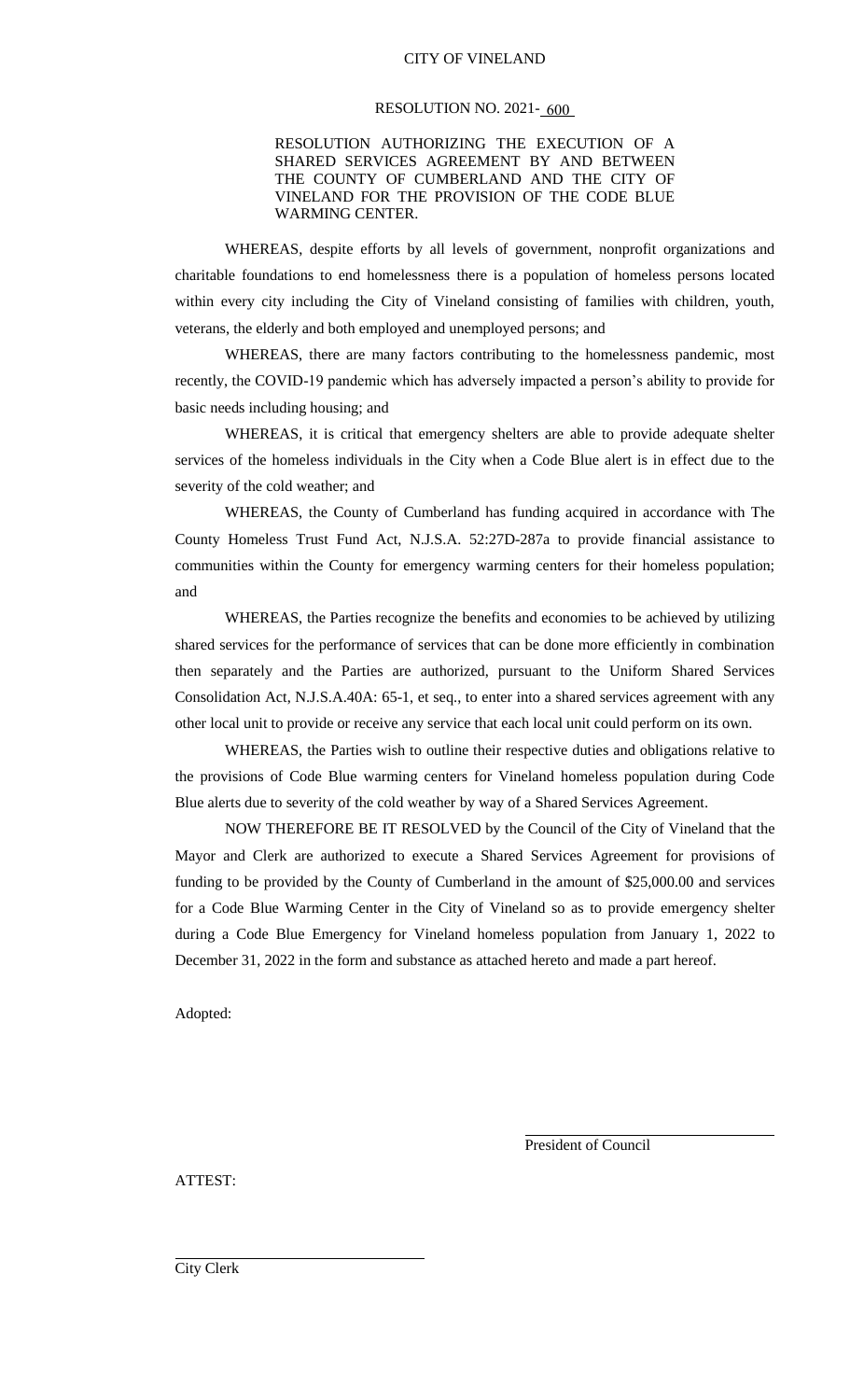## CITY OF VINELAND

# RESOLUTION NO. 2021- 600

# RESOLUTION AUTHORIZING THE EXECUTION OF A SHARED SERVICES AGREEMENT BY AND BETWEEN THE COUNTY OF CUMBERLAND AND THE CITY OF VINELAND FOR THE PROVISION OF THE CODE BLUE WARMING CENTER.

WHEREAS, despite efforts by all levels of government, nonprofit organizations and charitable foundations to end homelessness there is a population of homeless persons located within every city including the City of Vineland consisting of families with children, youth, veterans, the elderly and both employed and unemployed persons; and

WHEREAS, there are many factors contributing to the homelessness pandemic, most recently, the COVID-19 pandemic which has adversely impacted a person's ability to provide for basic needs including housing; and

WHEREAS, it is critical that emergency shelters are able to provide adequate shelter services of the homeless individuals in the City when a Code Blue alert is in effect due to the severity of the cold weather; and

WHEREAS, the County of Cumberland has funding acquired in accordance with The County Homeless Trust Fund Act, N.J.S.A. 52:27D-287a to provide financial assistance to communities within the County for emergency warming centers for their homeless population; and

WHEREAS, the Parties recognize the benefits and economies to be achieved by utilizing shared services for the performance of services that can be done more efficiently in combination then separately and the Parties are authorized, pursuant to the Uniform Shared Services Consolidation Act, N.J.S.A.40A: 65-1, et seq., to enter into a shared services agreement with any other local unit to provide or receive any service that each local unit could perform on its own.

WHEREAS, the Parties wish to outline their respective duties and obligations relative to the provisions of Code Blue warming centers for Vineland homeless population during Code Blue alerts due to severity of the cold weather by way of a Shared Services Agreement.

NOW THEREFORE BE IT RESOLVED by the Council of the City of Vineland that the Mayor and Clerk are authorized to execute a Shared Services Agreement for provisions of funding to be provided by the County of Cumberland in the amount of \$25,000.00 and services for a Code Blue Warming Center in the City of Vineland so as to provide emergency shelter during a Code Blue Emergency for Vineland homeless population from January 1, 2022 to December 31, 2022 in the form and substance as attached hereto and made a part hereof.

Adopted:

President of Council

ATTEST:

City Clerk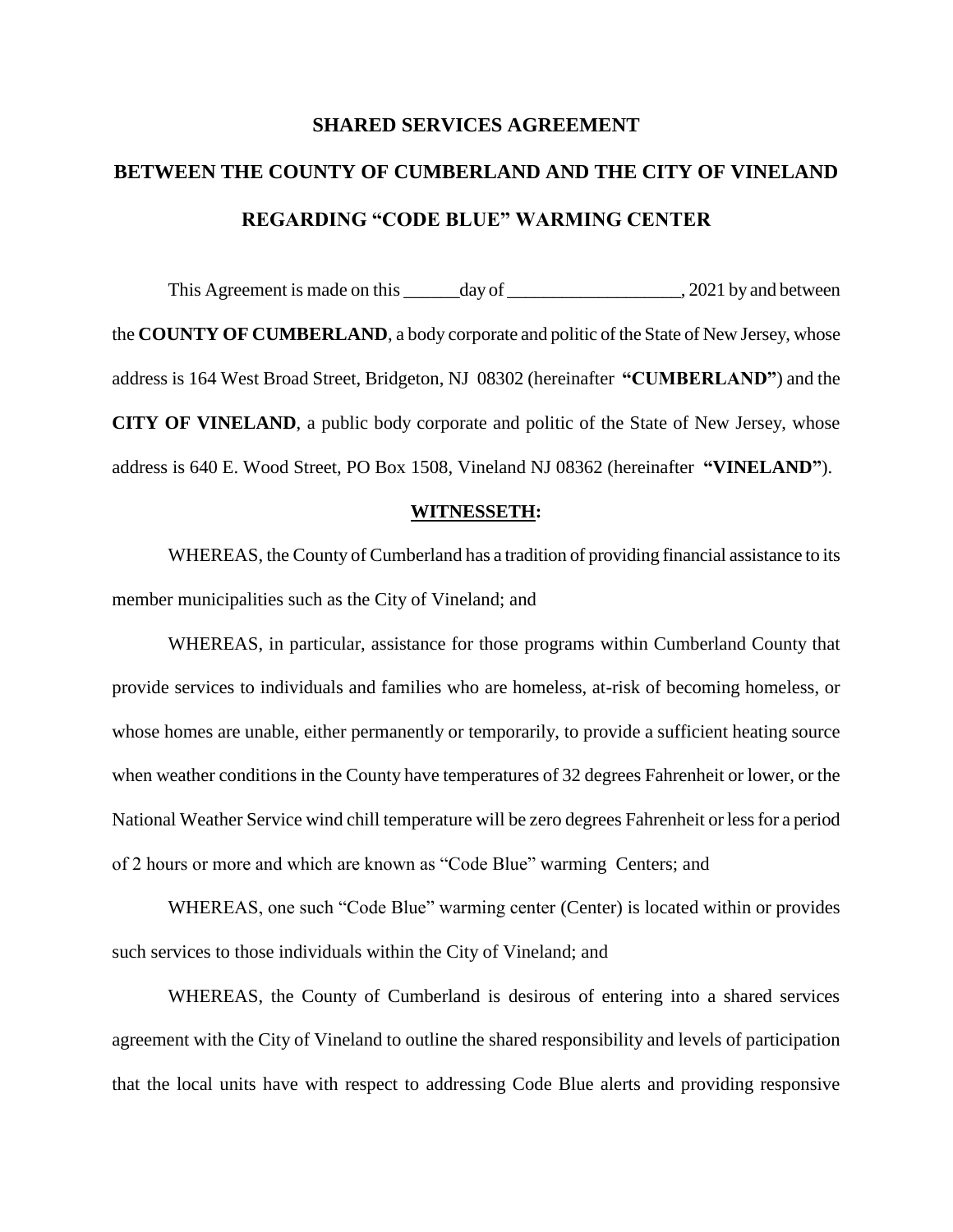# **BETWEEN THE COUNTY OF CUMBERLAND AND THE CITY OF VINELAND REGARDING "CODE BLUE" WARMING CENTER**

**SHARED SERVICES AGREEMENT**

This Agreement is made on this \_\_\_\_\_\_\_ day of \_\_\_\_\_\_\_\_\_\_\_\_\_\_\_\_\_\_\_\_\_\_\_, 2021 by and between the **COUNTY OF CUMBERLAND**, a body corporate and politic of the State of New Jersey, whose address is 164 West Broad Street, Bridgeton, NJ 08302 (hereinafter **"CUMBERLAND"**) and the **CITY OF VINELAND**, a public body corporate and politic of the State of New Jersey, whose address is 640 E. Wood Street, PO Box 1508, Vineland NJ 08362 (hereinafter **"VINELAND"**).

## **WITNESSETH:**

WHEREAS, the County of Cumberland has a tradition of providing financial assistance to its member municipalities such as the City of Vineland; and

WHEREAS, in particular, assistance for those programs within Cumberland County that provide services to individuals and families who are homeless, at-risk of becoming homeless, or whose homes are unable, either permanently or temporarily, to provide a sufficient heating source when weather conditions in the County have temperatures of 32 degrees Fahrenheit or lower, or the National Weather Service wind chill temperature will be zero degrees Fahrenheit or less for a period of 2 hours or more and which are known as "Code Blue" warming Centers; and

WHEREAS, one such "Code Blue" warming center (Center) is located within or provides such services to those individuals within the City of Vineland; and

WHEREAS, the County of Cumberland is desirous of entering into a shared services agreement with the City of Vineland to outline the shared responsibility and levels of participation that the local units have with respect to addressing Code Blue alerts and providing responsive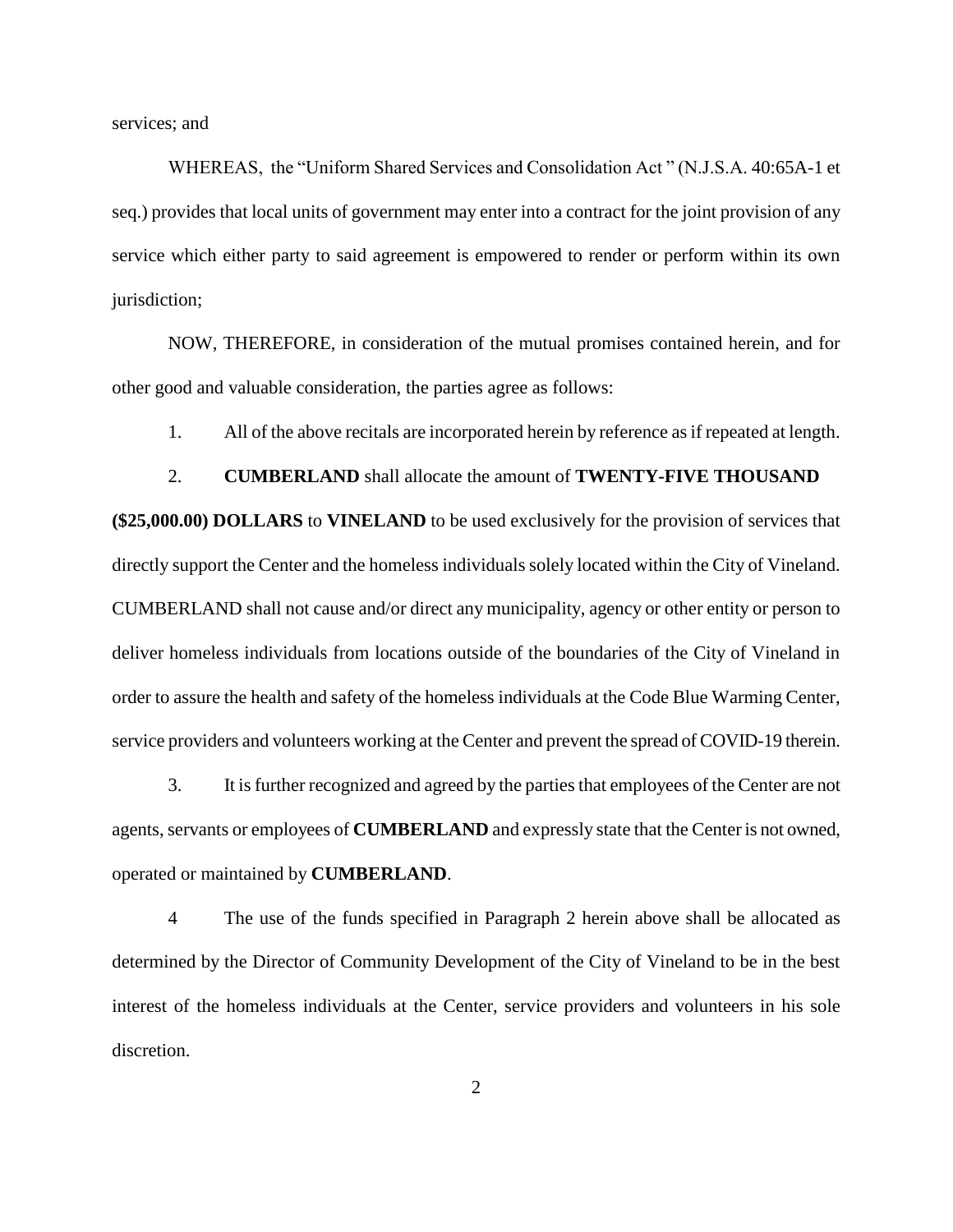services; and

WHEREAS, the "Uniform Shared Services and Consolidation Act " (N.J.S.A. 40:65A-1 et seq.) provides that local units of government may enter into a contract for the joint provision of any service which either party to said agreement is empowered to render or perform within its own jurisdiction;

NOW, THEREFORE, in consideration of the mutual promises contained herein, and for other good and valuable consideration, the parties agree as follows:

1. All of the above recitals are incorporated herein by reference as if repeated at length.

# 2. **CUMBERLAND** shall allocate the amount of **TWENTY-FIVE THOUSAND**

**(\$25,000.00) DOLLARS** to **VINELAND** to be used exclusively for the provision of services that directly support the Center and the homeless individuals solely located within the City of Vineland. CUMBERLAND shall not cause and/or direct any municipality, agency or other entity or person to deliver homeless individuals from locations outside of the boundaries of the City of Vineland in order to assure the health and safety of the homeless individuals at the Code Blue Warming Center, service providers and volunteers working at the Center and prevent the spread of COVID-19 therein.

3. It is further recognized and agreed by the parties that employees of the Center are not agents, servants or employees of **CUMBERLAND** and expressly state that the Centeris not owned, operated or maintained by **CUMBERLAND**.

4 The use of the funds specified in Paragraph 2 herein above shall be allocated as determined by the Director of Community Development of the City of Vineland to be in the best interest of the homeless individuals at the Center, service providers and volunteers in his sole discretion.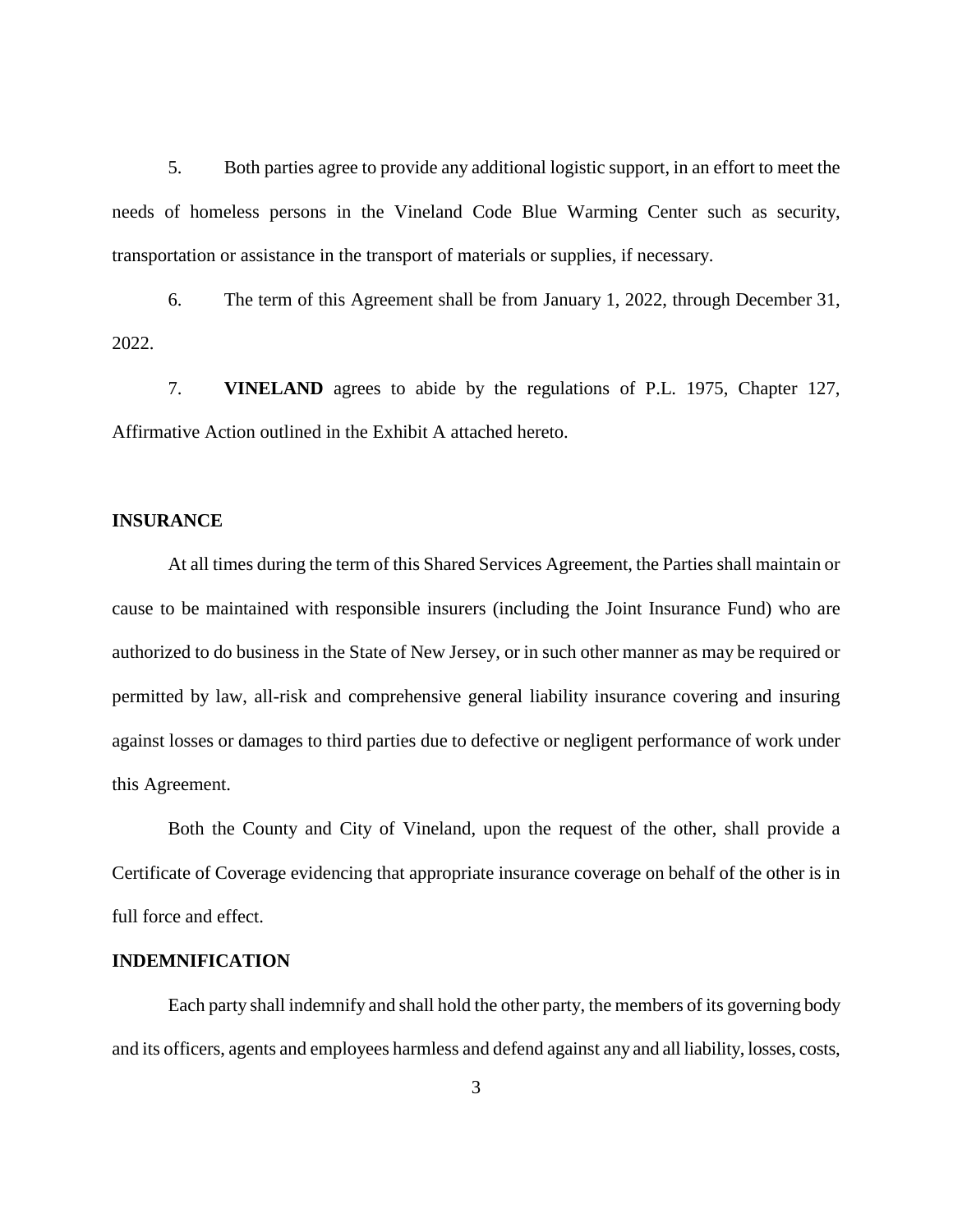5. Both parties agree to provide any additional logistic support, in an effort to meet the needs of homeless persons in the Vineland Code Blue Warming Center such as security, transportation or assistance in the transport of materials or supplies, if necessary.

6. The term of this Agreement shall be from January 1, 2022, through December 31, 2022.

7. **VINELAND** agrees to abide by the regulations of P.L. 1975, Chapter 127, Affirmative Action outlined in the Exhibit A attached hereto.

## **INSURANCE**

At all times during the term of this Shared Services Agreement, the Parties shall maintain or cause to be maintained with responsible insurers (including the Joint Insurance Fund) who are authorized to do business in the State of New Jersey, or in such other manner as may be required or permitted by law, all-risk and comprehensive general liability insurance covering and insuring against losses or damages to third parties due to defective or negligent performance of work under this Agreement.

Both the County and City of Vineland, upon the request of the other, shall provide a Certificate of Coverage evidencing that appropriate insurance coverage on behalf of the other is in full force and effect.

## **INDEMNIFICATION**

Each party shall indemnify and shall hold the other party, the members of its governing body and its officers, agents and employees harmless and defend against any and all liability, losses, costs,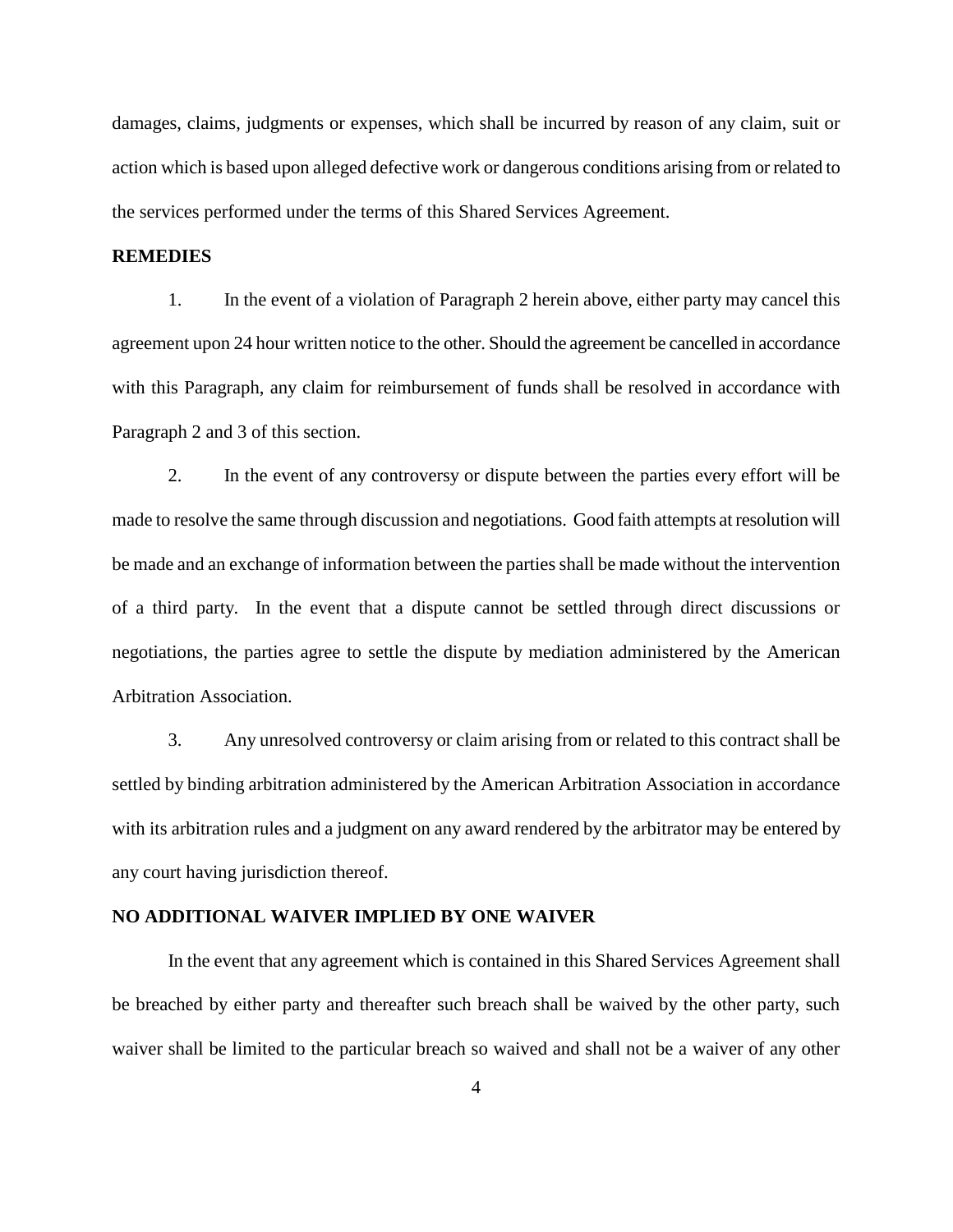damages, claims, judgments or expenses, which shall be incurred by reason of any claim, suit or action which is based upon alleged defective work or dangerous conditions arising from or related to the services performed under the terms of this Shared Services Agreement.

# **REMEDIES**

1. In the event of a violation of Paragraph 2 herein above, either party may cancel this agreement upon 24 hour written notice to the other. Should the agreement be cancelled in accordance with this Paragraph, any claim for reimbursement of funds shall be resolved in accordance with Paragraph 2 and 3 of this section.

2. In the event of any controversy or dispute between the parties every effort will be made to resolve the same through discussion and negotiations. Good faith attempts at resolution will be made and an exchange of information between the parties shall be made without the intervention of a third party. In the event that a dispute cannot be settled through direct discussions or negotiations, the parties agree to settle the dispute by mediation administered by the American Arbitration Association.

3. Any unresolved controversy or claim arising from or related to this contract shall be settled by binding arbitration administered by the American Arbitration Association in accordance with its arbitration rules and a judgment on any award rendered by the arbitrator may be entered by any court having jurisdiction thereof.

## **NO ADDITIONAL WAIVER IMPLIED BY ONE WAIVER**

In the event that any agreement which is contained in this Shared Services Agreement shall be breached by either party and thereafter such breach shall be waived by the other party, such waiver shall be limited to the particular breach so waived and shall not be a waiver of any other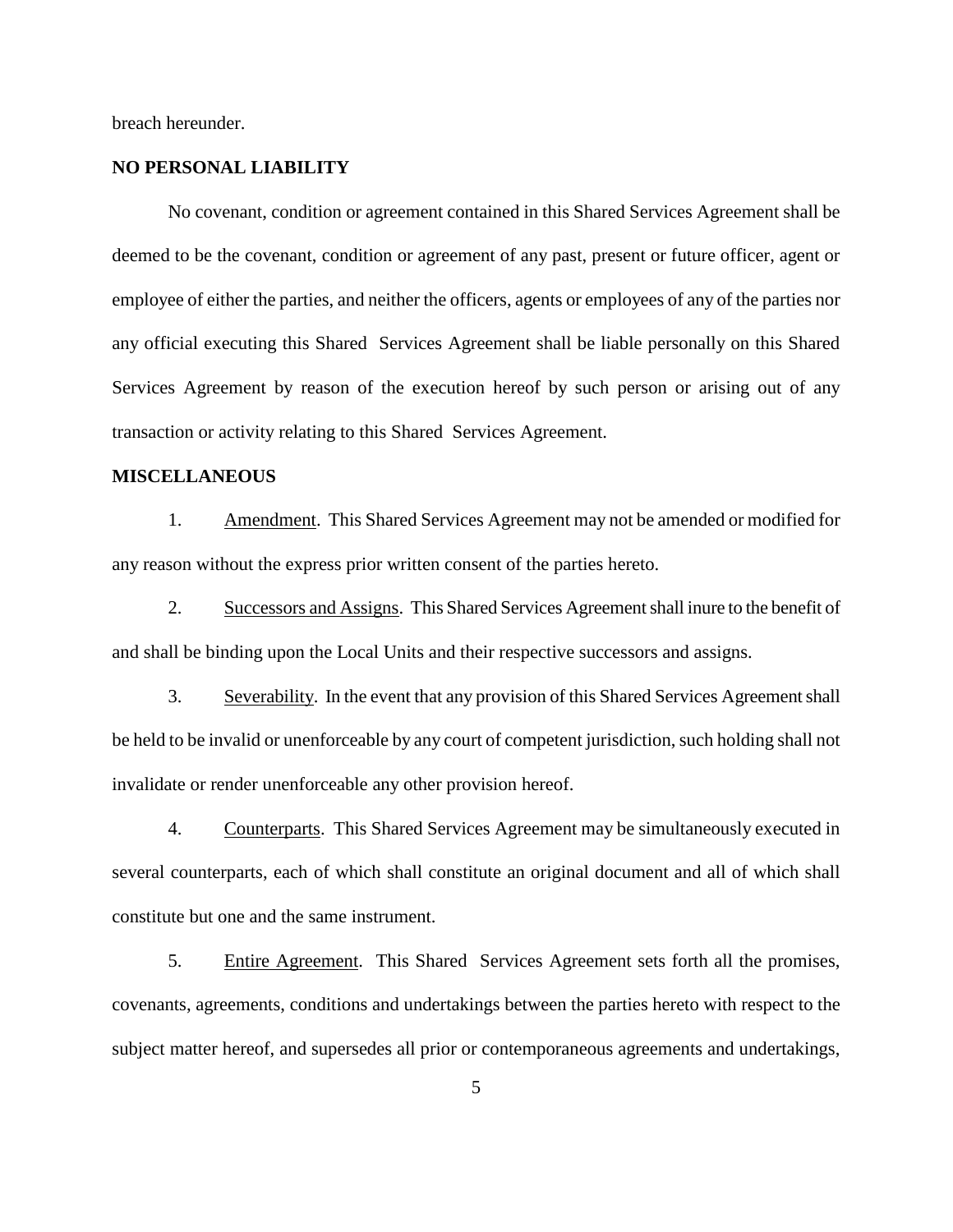breach hereunder.

#### **NO PERSONAL LIABILITY**

No covenant, condition or agreement contained in this Shared Services Agreement shall be deemed to be the covenant, condition or agreement of any past, present or future officer, agent or employee of either the parties, and neither the officers, agents or employees of any of the parties nor any official executing this Shared Services Agreement shall be liable personally on this Shared Services Agreement by reason of the execution hereof by such person or arising out of any transaction or activity relating to this Shared Services Agreement.

#### **MISCELLANEOUS**

1. Amendment. This Shared Services Agreement may not be amended or modified for any reason without the express prior written consent of the parties hereto.

2. Successors and Assigns. This Shared Services Agreement shall inure to the benefit of and shall be binding upon the Local Units and their respective successors and assigns.

3. Severability. In the event that any provision of this Shared Services Agreement shall be held to be invalid or unenforceable by any court of competent jurisdiction, such holding shall not invalidate or render unenforceable any other provision hereof.

4. Counterparts. This Shared Services Agreement may be simultaneously executed in several counterparts, each of which shall constitute an original document and all of which shall constitute but one and the same instrument.

5. Entire Agreement. This Shared Services Agreement sets forth all the promises, covenants, agreements, conditions and undertakings between the parties hereto with respect to the subject matter hereof, and supersedes all prior or contemporaneous agreements and undertakings,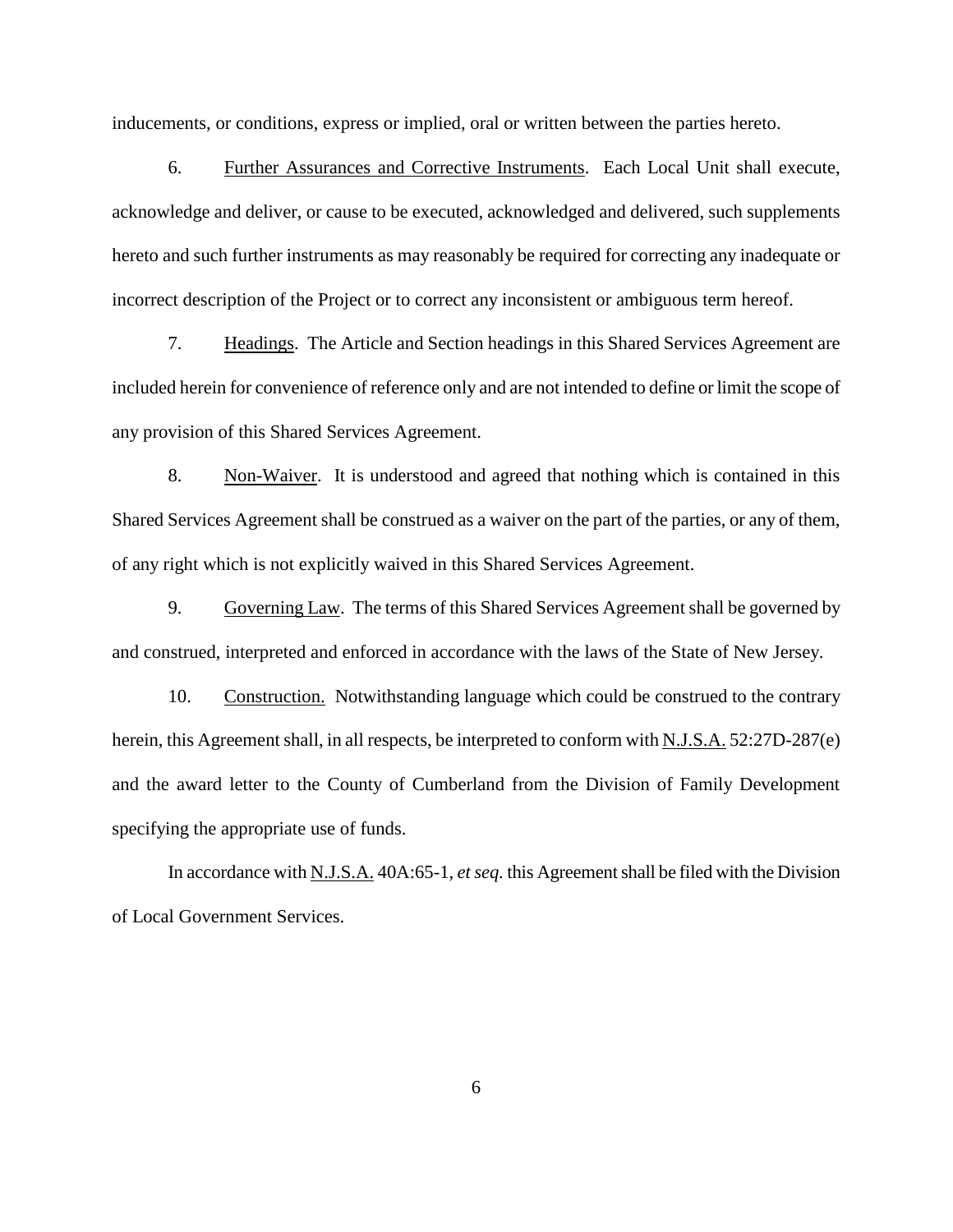inducements, or conditions, express or implied, oral or written between the parties hereto.

6. Further Assurances and Corrective Instruments. Each Local Unit shall execute, acknowledge and deliver, or cause to be executed, acknowledged and delivered, such supplements hereto and such further instruments as may reasonably be required for correcting any inadequate or incorrect description of the Project or to correct any inconsistent or ambiguous term hereof.

7. Headings. The Article and Section headings in this Shared Services Agreement are included herein for convenience of reference only and are not intended to define or limit the scope of any provision of this Shared Services Agreement.

8. Non-Waiver. It is understood and agreed that nothing which is contained in this Shared Services Agreement shall be construed as a waiver on the part of the parties, or any of them, of any right which is not explicitly waived in this Shared Services Agreement.

9. Governing Law. The terms of this Shared Services Agreement shall be governed by and construed, interpreted and enforced in accordance with the laws of the State of New Jersey.

10. Construction. Notwithstanding language which could be construed to the contrary herein, this Agreement shall, in all respects, be interpreted to conform with N.J.S.A. 52:27D-287(e) and the award letter to the County of Cumberland from the Division of Family Development specifying the appropriate use of funds.

In accordance with N.J.S.A. 40A:65-1, *et seq.* this Agreement shall be filed with the Division of Local Government Services.

6